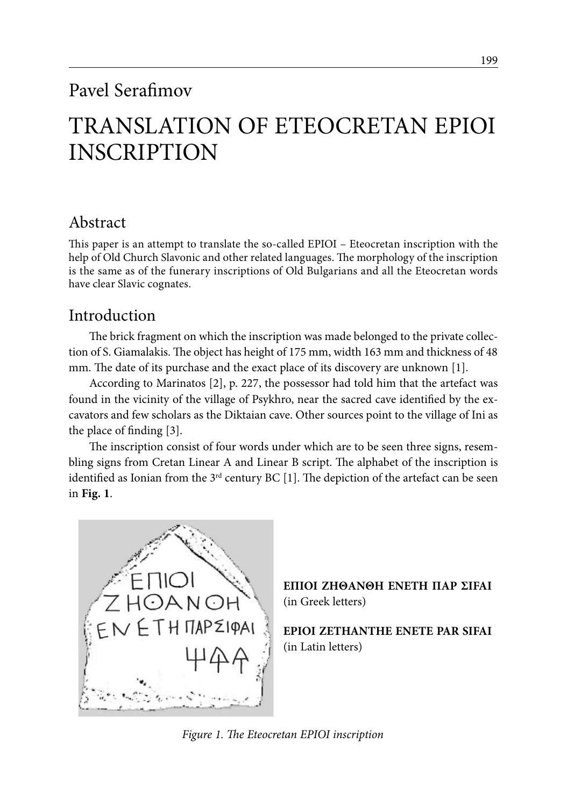## Pavel Serafimov

# TRANSLATION OF ETEOCRETAN EPIOI INSCRIPTION

## Abstract

This paper is an attempt to translate the so-called EPIOI – Eteocretan inscription with the help of Old Church Slavonic and other related languages. The morphology of the inscription is the same as of the funerary inscriptions of Old Bulgarians and all the Eteocretan words have clear Slavic cognates.

## Introduction

The brick fragment on which the inscription was made belonged to the private collection of S. Giamalakis. The object has height of 175 mm, width 163 mm and thickness of 48 mm. The date of its purchase and the exact place of its discovery are unknown [1].

According to Marinatos [2], p. 227, the possessor had told him that the artefact was found in the vicinity of the village of Psykhro, near the sacred cave identified by the excavators and few scholars as the Diktaian cave. Other sources point to the village of Ini as the place of finding [3].

The inscription consist of four words under which are to be seen three signs, resembling signs from Cretan Linear A and Linear B script. The alphabet of the inscription is identified as Ionian from the  $3<sup>rd</sup>$  century BC [1]. The depiction of the artefact can be seen in **Fig. 1**.



**EΠIOI ZHΘANΘΗ ENETΗ ΠAP ΣIFAI** (in Greek letters)

**EPIOI ZETHANTHE ENETE PAR SIFAI** (in Latin letters)

*Figure 1. The Eteocretan EPIOI inscription*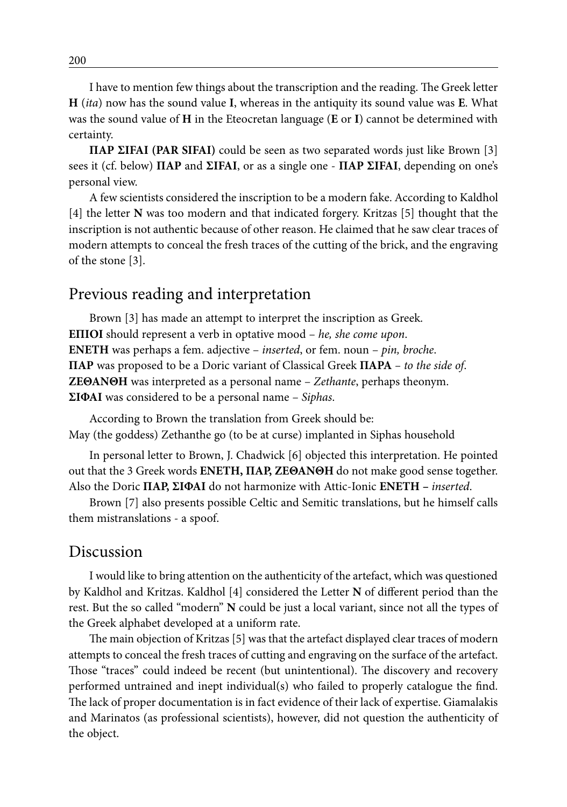I have to mention few things about the transcription and the reading. The Greek letter **H** (*ita*) now has the sound value **I**, whereas in the antiquity its sound value was **E**. What was the sound value of **H** in the Eteocretan language (**E** or **I**) cannot be determined with certainty.

**ΠAP ΣIFAI (PAR SIFAI)** could be seen as two separated words just like Brown [3] sees it (cf. below) **ΠAP** and **ΣIFAI**, or as a single one - **ΠAP ΣIFAI**, depending on one's personal view.

A few scientists considered the inscription to be a modern fake. According to Kaldhol [4] the letter **N** was too modern and that indicated forgery. Kritzas [5] thought that the inscription is not authentic because of other reason. He claimed that he saw clear traces of modern attempts to conceal the fresh traces of the cutting of the brick, and the engraving of the stone [3].

### Previous reading and interpretation

Brown [3] has made an attempt to interpret the inscription as Greek. **ΕΠΙΟΙ** should represent a verb in optative mood – *he, she come upon*. **ΕΝΕΤΗ** was perhaps a fem. adjective – *inserted*, or fem. noun – *pin, broche*. **ΠAΡ** was proposed to be a Doric variant of Classical Greek **ΠΑΡΑ** *– to the side of*. **ΖΕΘΑΝΘΗ** was interpreted as a personal name – *Zethante*, perhaps theonym. **ΣΙΦΑΙ** was considered to be a personal name – *Siphas*.

According to Brown the translation from Greek should be: May (the goddess) Zethanthe go (to be at curse) implanted in Siphas household

In personal letter to Brown, J. Chadwick [6] objected this interpretation. He pointed out that the 3 Greek words **ΕΝΕΤΗ, ΠAΡ, ΖΕΘΑΝΘΗ** do not make good sense together. Also the Doric **ΠAΡ, ΣΙΦΑΙ** do not harmonize with Attic-Ionic **ΕΝΕΤΗ –** *inserted*.

Brown [7] also presents possible Celtic and Semitic translations, but he himself calls them mistranslations - a spoof.

#### Discussion

I would like to bring attention on the authenticity of the artefact, which was questioned by Kaldhol and Kritzas. Kaldhol [4] considered the Letter **N** of different period than the rest. But the so called "modern" **N** could be just a local variant, since not all the types of the Greek alphabet developed at a uniform rate.

The main objection of Kritzas [5] was that the artefact displayed clear traces of modern attempts to conceal the fresh traces of cutting and engraving on the surface of the artefact. Those "traces" could indeed be recent (but unintentional). The discovery and recovery performed untrained and inept individual(s) who failed to properly catalogue the find. The lack of proper documentation is in fact evidence of their lack of expertise. Giamalakis and Marinatos (as professional scientists), however, did not question the authenticity of the object.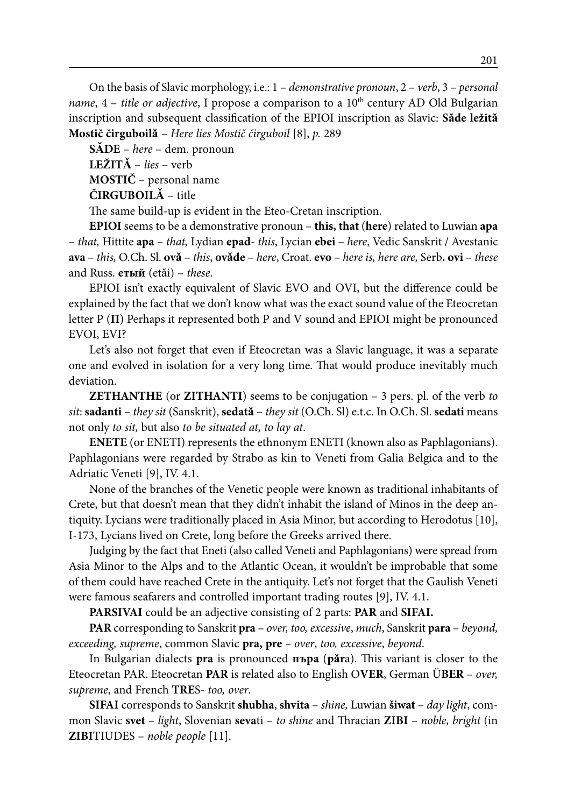On the basis of Slavic morphology, i.e.: 1 – *demonstrative pronoun*, 2 – *verb*, 3 – *personal name*, 4 – *title or adjective*, I propose a comparison to a 10<sup>th</sup> century AD Old Bulgarian inscription and subsequent classification of the EPIOI inscription as Slavic: **Sǎde ležitǎ Mostič čirguboilǎ** – *Here lies Mostič čirguboil* [8], *p.* 289

**SǍDE** – *here* – dem. pronoun **LEŽITǍ** – *lies* – verb

**MOSTIČ** – personal name

**ČIRGUBOILǍ** – title

The same build-up is evident in the Eteo-Cretan inscription.

**EPIOI** seems to be a demonstrative pronoun – **this, that** (**here**) related to Luwian **apa**  – *that,* Hittite **apa** – *that,* Lydian **epad**- *this*, Lycian **ebei** – *here*, Vedic Sanskrit / Avestanic **ava** – *this,* O.Ch. Sl. **ovǎ** – *this*, **ovǎde** – *here*, Croat. **evo** – *here is, here are,* Serb**. ovi** – *these* and Russ. **етый** (etǎi) – *these*.

EPIOI isn't exactly equivalent of Slavic EVO and OVI, but the difference could be explained by the fact that we don't know what was the exact sound value of the Eteocretan letter P (**Π**) Perhaps it represented both P and V sound and EPIOI might be pronounced EVOI, EVI?

Let's also not forget that even if Eteocretan was a Slavic language, it was a separate one and evolved in isolation for a very long time. That would produce inevitably much deviation.

**ZETHANTHE** (or **ZITHANTI**) seems to be conjugation – 3 pers. pl. of the verb *to sit*: **sadanti** – *they sit* (Sanskrit), **sedatǎ** – *they sit* (O.Ch. Sl) e.t.c. In O.Ch. Sl. **sedati** means not only *to sit,* but also *to be situated at, to lay at*.

**ENETE** (or ENETI) represents the ethnonym ENETI (known also as Paphlagonians). Paphlagonians were regarded by Strabo as kin to Veneti from Galia Belgica and to the Adriatic Veneti [9], IV. 4.1.

None of the branches of the Venetic people were known as traditional inhabitants of Crete, but that doesn't mean that they didn't inhabit the island of Minos in the deep antiquity. Lycians were traditionally placed in Asia Minor, but according to Herodotus [10], I-173, Lycians lived on Crete, long before the Greeks arrived there.

Judging by the fact that Eneti (also called Veneti and Paphlagonians) were spread from Asia Minor to the Alps and to the Atlantic Ocean, it wouldn't be improbable that some of them could have reached Crete in the antiquity. Let's not forget that the Gaulish Veneti were famous seafarers and controlled important trading routes [9], IV. 4.1.

**PARSIVAI** could be an adjective consisting of 2 parts: **PAR** and **SIFAI.**

**PAR** corresponding to Sanskrit **pra** – *over, too, excessive*, *much*, Sanskrit **para** – *beyond, exceeding, supreme*, common Slavic **pra, pre** *– over*, *too, excessive*, *beyond*.

In Bulgarian dialects **pra** is pronounced **пъра** (**pǎr**a). This variant is closer to the Eteocretan PAR. Eteocretan **PAR** is related also to English O**VER**, German Ü**BER** – *over, supreme*, and French **TRE**S- *too, over*.

**SIFAI** corresponds to Sanskrit **shubha**, **shvita** – *shine,* Luwian **šiwat** – *day light*, common Slavic **svet** – *light*, Slovenian **seva**ti – *to shine* and Thracian **ZIBI** – *noble, bright* (in **ZIBI**TIUDES – *noble people* [11].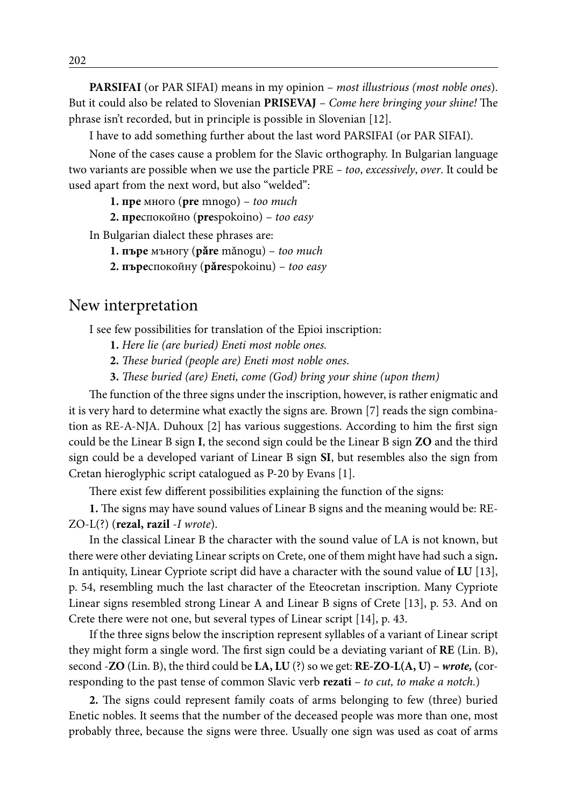**PARSIFAI** (or PAR SIFAI) means in my opinion – *most illustrious (most noble ones*). But it could also be related to Slovenian **PRISEVAJ** – *Come here bringing your shine!* The phrase isn't recorded, but in principle is possible in Slovenian [12].

I have to add something further about the last word PARSIFAI (or PAR SIFAI).

None of the cases cause a problem for the Slavic orthography. In Bulgarian language two variants are possible when we use the particle PRE *– too*, *excessively*, *over*. It could be used apart from the next word, but also "welded":

**1. пре** много (**pre** mnogo) – *too much*

**2. пре**спокойно (**pre**spokoino) – *too easy*

In Bulgarian dialect these phrases are:

**1. пъре** мъногу (**pǎre** mǎnogu) – *too much*

**2. пъре**спокойну (**pǎre**spokoinu) – *too easy*

#### New interpretation

I see few possibilities for translation of the Epioi inscription:

**1.** *Here lie (are buried) Eneti most noble ones.*

**2.** *These buried (people are) Eneti most noble ones*.

**3.** *These buried (are) Eneti, come (God) bring your shine (upon them)*

The function of the three signs under the inscription, however, is rather enigmatic and it is very hard to determine what exactly the signs are. Brown [7] reads the sign combination as RE-A-NJA. Duhoux [2] has various suggestions. According to him the first sign could be the Linear B sign **I**, the second sign could be the Linear B sign **ZO** and the third sign could be a developed variant of Linear B sign **SI**, but resembles also the sign from Cretan hieroglyphic script catalogued as P-20 by Evans [1].

There exist few different possibilities explaining the function of the signs:

**1.** The signs may have sound values of Linear B signs and the meaning would be: RE-ZO-L(?) (**rezal, razil** -*I wrote*).

In the classical Linear B the character with the sound value of LA is not known, but there were other deviating Linear scripts on Crete, one of them might have had such a sign**.** In antiquity, Linear Cypriote script did have a character with the sound value of **LU** [13], p. 54, resembling much the last character of the Eteocretan inscription. Many Cypriote Linear signs resembled strong Linear A and Linear B signs of Crete [13], p. 53. And on Crete there were not one, but several types of Linear script [14], p. 43.

If the three signs below the inscription represent syllables of a variant of Linear script they might form a single word. The first sign could be a deviating variant of **RE** (Lin. B), second -**ZO** (Lin. B), the third could be **LA, LU** (?) so we get: **RE-ZO-L(A, U) –** *wrote,* **(**corresponding to the past tense of common Slavic verb **rezati** – *to cut, to make a notch.*)

**2.** The signs could represent family coats of arms belonging to few (three) buried Enetic nobles. It seems that the number of the deceased people was more than one, most probably three, because the signs were three. Usually one sign was used as coat of arms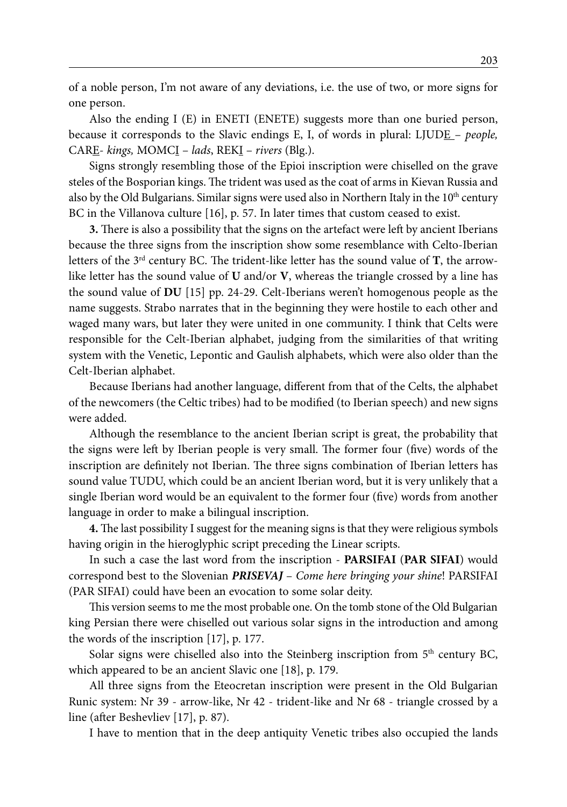of a noble person, I'm not aware of any deviations, i.e. the use of two, or more signs for one person.

Also the ending I (E) in ENETI (ENETE) suggests more than one buried person, because it corresponds to the Slavic endings E, I, of words in plural: LJUDE – *people,* CARE- *kings,* MOMCI – *lads*, REKI – *rivers* (Blg.).

Signs strongly resembling those of the Epioi inscription were chiselled on the grave steles of the Bosporian kings. The trident was used as the coat of arms in Kievan Russia and also by the Old Bulgarians. Similar signs were used also in Northern Italy in the  $10<sup>th</sup>$  century BC in the Villanova culture [16], p. 57. In later times that custom ceased to exist.

**3.** There is also a possibility that the signs on the artefact were left by ancient Iberians because the three signs from the inscription show some resemblance with Celto-Iberian letters of the 3rd century BC. The trident-like letter has the sound value of **T**, the arrowlike letter has the sound value of **U** and/or **V**, whereas the triangle crossed by a line has the sound value of **DU** [15] pp. 24-29. Celt-Iberians weren't homogenous people as the name suggests. Strabo narrates that in the beginning they were hostile to each other and waged many wars, but later they were united in one community. I think that Celts were responsible for the Celt-Iberian alphabet, judging from the similarities of that writing system with the Venetic, Lepontic and Gaulish alphabets, which were also older than the Celt-Iberian alphabet.

Because Iberians had another language, different from that of the Celts, the alphabet of the newcomers (the Celtic tribes) had to be modified (to Iberian speech) and new signs were added.

Although the resemblance to the ancient Iberian script is great, the probability that the signs were left by Iberian people is very small. The former four (five) words of the inscription are definitely not Iberian. The three signs combination of Iberian letters has sound value TUDU, which could be an ancient Iberian word, but it is very unlikely that a single Iberian word would be an equivalent to the former four (five) words from another language in order to make a bilingual inscription.

**4.** The last possibility I suggest for the meaning signs is that they were religious symbols having origin in the hieroglyphic script preceding the Linear scripts.

In such a case the last word from the inscription - **PARSIFAI** (**PAR SIFAI**) would correspond best to the Slovenian *PRISEVAJ* – *Come here bringing your shine*! PARSIFAI (PAR SIFAI) could have been an evocation to some solar deity.

This version seems to me the most probable one. On the tomb stone of the Old Bulgarian king Persian there were chiselled out various solar signs in the introduction and among the words of the inscription [17], p. 177.

Solar signs were chiselled also into the Steinberg inscription from  $5<sup>th</sup>$  century BC, which appeared to be an ancient Slavic one [18], p. 179.

All three signs from the Eteocretan inscription were present in the Old Bulgarian Runic system: Nr 39 - arrow-like, Nr 42 - trident-like and Nr 68 - triangle crossed by a line (after Beshevliev [17], p. 87).

I have to mention that in the deep antiquity Venetic tribes also occupied the lands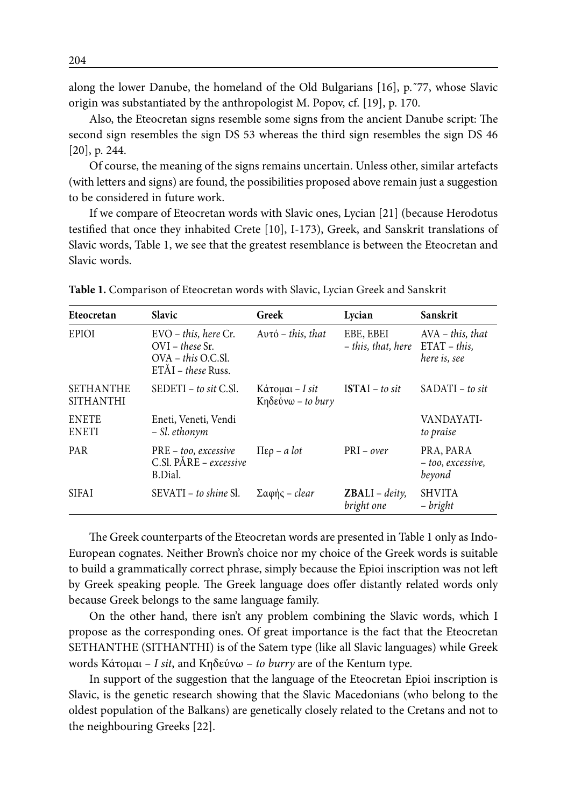along the lower Danube, the homeland of the Old Bulgarians [16], p.˝77, whose Slavic origin was substantiated by the anthropologist M. Popov, cf. [19], p. 170.

Also, the Eteocretan signs resemble some signs from the ancient Danube script: The second sign resembles the sign DS 53 whereas the third sign resembles the sign DS 46 [20], p. 244.

Of course, the meaning of the signs remains uncertain. Unless other, similar artefacts (with letters and signs) are found, the possibilities proposed above remain just a suggestion to be considered in future work.

If we compare of Eteocretan words with Slavic ones, Lycian [21] (because Herodotus testified that once they inhabited Crete [10], I-173), Greek, and Sanskrit translations of Slavic words, Table 1, we see that the greatest resemblance is between the Eteocretan and Slavic words.

| Eteocretan                           | <b>Slavic</b>                                                                                    | Greek                                   | Lycian                          | Sanskrit                                              |
|--------------------------------------|--------------------------------------------------------------------------------------------------|-----------------------------------------|---------------------------------|-------------------------------------------------------|
| <b>EPIOI</b>                         | $EVO - this$ , here $Cr$ .<br>$OVI$ – these Sr.<br>OVA – this O.C.Sl.<br>$ET\AA I$ – these Russ. | $Av\tau\dot{\circ}$ – this, that        | EBE, EBEI<br>- this, that, here | $AVA - this, that$<br>$ETAT - this$ ,<br>here is, see |
| <b>SETHANTHE</b><br><b>SITHANTHI</b> | $SEDETI - to sit C.SI.$                                                                          | $K$ άτομαι – I sit<br>Kηδεύνω – to bury | $ISTAI - to sit$                | $SADATI - to sit$                                     |
| <b>ENETE</b><br><b>ENETI</b>         | Eneti, Veneti, Vendi<br>– Sl. ethonym                                                            |                                         |                                 | VANDAYATI-<br>to praise                               |
| <b>PAR</b>                           | $PRE - too, excessive$<br>$C.S.$ PÅRE – excessive<br>B.Dial.                                     | $\Pi$ ερ – a lot                        | $PRI - over$                    | PRA, PARA<br>- too, excessive,<br>beyond              |
| <b>SIFAI</b>                         | SEVATI – to shine Sl.                                                                            | $\Sigma$ αφής – clear                   | $ZBALI - deity$<br>bright one   | <b>SHVITA</b><br>- bright                             |

**Table 1.** Comparison of Eteocretan words with Slavic, Lycian Greek and Sanskrit

The Greek counterparts of the Eteocretan words are presented in Table 1 only as Indo-European cognates. Neither Brown's choice nor my choice of the Greek words is suitable to build a grammatically correct phrase, simply because the Epioi inscription was not left by Greek speaking people. The Greek language does offer distantly related words only because Greek belongs to the same language family.

On the other hand, there isn't any problem combining the Slavic words, which I propose as the corresponding ones. Of great importance is the fact that the Eteocretan SETHANTHE (SITHANTHI) is of the Satem type (like all Slavic languages) while Greek words Κάτομαι *– I sit*, and Κηδεύνω – *to burry* are of the Kentum type.

In support of the suggestion that the language of the Eteocretan Epioi inscription is Slavic, is the genetic research showing that the Slavic Macedonians (who belong to the oldest population of the Balkans) are genetically closely related to the Cretans and not to the neighbouring Greeks [22].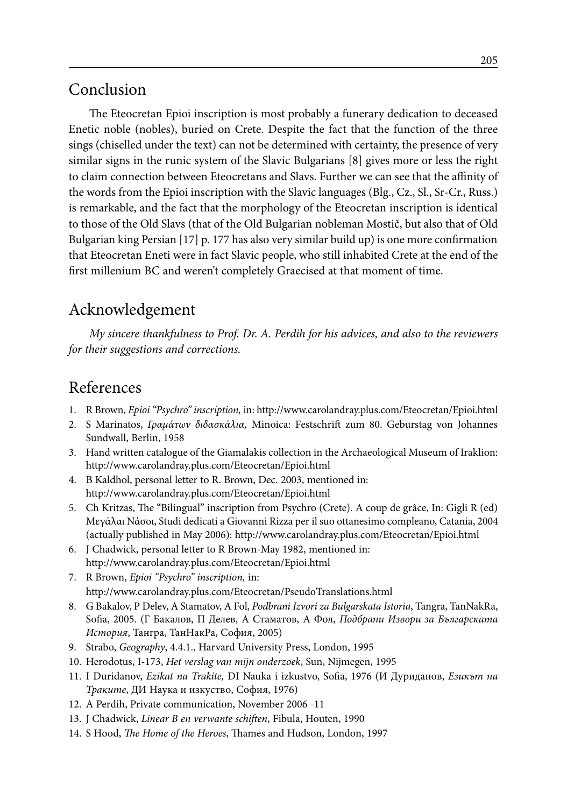## Conclusion

The Eteocretan Epioi inscription is most probably a funerary dedication to deceased Enetic noble (nobles), buried on Crete. Despite the fact that the function of the three sings (chiselled under the text) can not be determined with certainty, the presence of very similar signs in the runic system of the Slavic Bulgarians [8] gives more or less the right to claim connection between Eteocretans and Slavs. Further we can see that the affinity of the words from the Epioi inscription with the Slavic languages (Blg., Cz., Sl., Sr-Cr., Russ.) is remarkable, and the fact that the morphology of the Eteocretan inscription is identical to those of the Old Slavs (that of the Old Bulgarian nobleman Mostič, but also that of Old Bulgarian king Persian [17] p. 177 has also very similar build up) is one more confirmation that Eteocretan Eneti were in fact Slavic people, who still inhabited Crete at the end of the first millenium BC and weren't completely Graecised at that moment of time.

## Acknowledgement

*My sincere thankfulness to Prof. Dr. A. Perdih for his advices, and also to the reviewers for their suggestions and corrections.*

## References

- 1. R Brown, *Epioi "Psychro" inscription,* in: http://www.carolandray.plus.com/Eteocretan/Epioi.html
- 2. S Marinatos, *Γραμάτων διδασκάλια,* Minoica: Festschrift zum 80. Geburstag von Johannes Sundwall, Berlin, 1958
- 3. Hand written catalogue of the Giamalakis collection in the Archaeological Museum of Iraklion: http://www.carolandray.plus.com/Eteocretan/Epioi.html
- 4. B Kaldhol, personal letter to R. Brown, Dec. 2003, mentioned in: http://www.carolandray.plus.com/Eteocretan/Epioi.html
- 5. Ch Kritzas, The "Bilingual" inscription from Psychro (Crete). A coup de grâce, In: Gigli R (ed) Μεγάλαι Νάσοι, Studi dedicati a Giovanni Rizza per il suo ottanesimo compleano, Catania, 2004 (actually published in May 2006): http://www.carolandray.plus.com/Eteocretan/Epioi.html
- 6. J Chadwick, personal letter to R Brown-May 1982, mentioned in: http://www.carolandray.plus.com/Eteocretan/Epioi.html
- 7. R Brown, *Epioi "Psychro" inscription,* in: http://www.carolandray.plus.com/Eteocretan/PseudoTranslations.html
- 8. G Bakalov, P Delev, A Stamatov, A Fol, *Podbrani Izvori za Bulgarskata Istoria*, Tangra, TanNakRa, Sofia, 2005. (Г Бакалов, П Делев, А Стаматов, А Фол, *Подбрани Извори за Българската История*, Тангра, ТанНакРа, София, 2005)
- 9. Strabo, *Geography*, 4.4.1., Harvard University Press, London, 1995
- 10. Herodotus, I-173, *Het verslag van mijn onderzoek*, Sun, Nijmegen, 1995
- 11. I Duridanov, *Ezikat na Trakite,* DI Nauka i izkustvo, Sofia, 1976 (И Дуриданoв, *Езикът на Траките*, ДИ Наука и изкуство, София, 1976)
- 12. A Perdih, Private communication, November 2006 -11
- 13. J Chadwick, *Linear B en verwante schiften*, Fibula, Houten, 1990
- 14. S Hood, *The Home of the Heroes*, Thames and Hudson, London, 1997